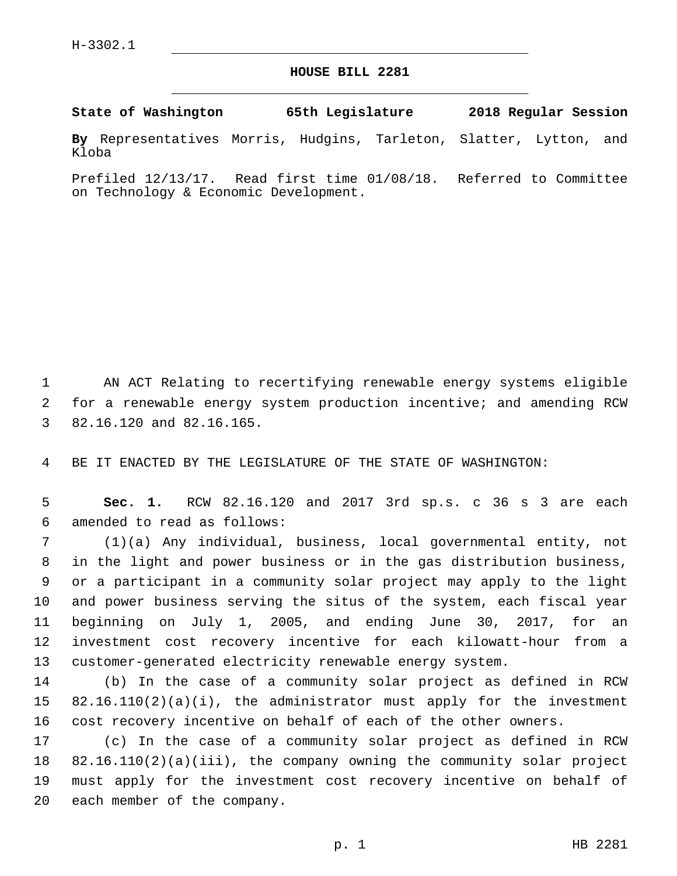## **HOUSE BILL 2281**

**State of Washington 65th Legislature 2018 Regular Session**

**By** Representatives Morris, Hudgins, Tarleton, Slatter, Lytton, and Kloba

Prefiled 12/13/17. Read first time 01/08/18. Referred to Committee on Technology & Economic Development.

 AN ACT Relating to recertifying renewable energy systems eligible for a renewable energy system production incentive; and amending RCW 3 82.16.120 and 82.16.165.

BE IT ENACTED BY THE LEGISLATURE OF THE STATE OF WASHINGTON:

 **Sec. 1.** RCW 82.16.120 and 2017 3rd sp.s. c 36 s 3 are each amended to read as follows:6

 (1)(a) Any individual, business, local governmental entity, not in the light and power business or in the gas distribution business, or a participant in a community solar project may apply to the light and power business serving the situs of the system, each fiscal year beginning on July 1, 2005, and ending June 30, 2017, for an investment cost recovery incentive for each kilowatt-hour from a customer-generated electricity renewable energy system.

 (b) In the case of a community solar project as defined in RCW 82.16.110(2)(a)(i), the administrator must apply for the investment cost recovery incentive on behalf of each of the other owners.

 (c) In the case of a community solar project as defined in RCW 82.16.110(2)(a)(iii), the company owning the community solar project must apply for the investment cost recovery incentive on behalf of 20 each member of the company.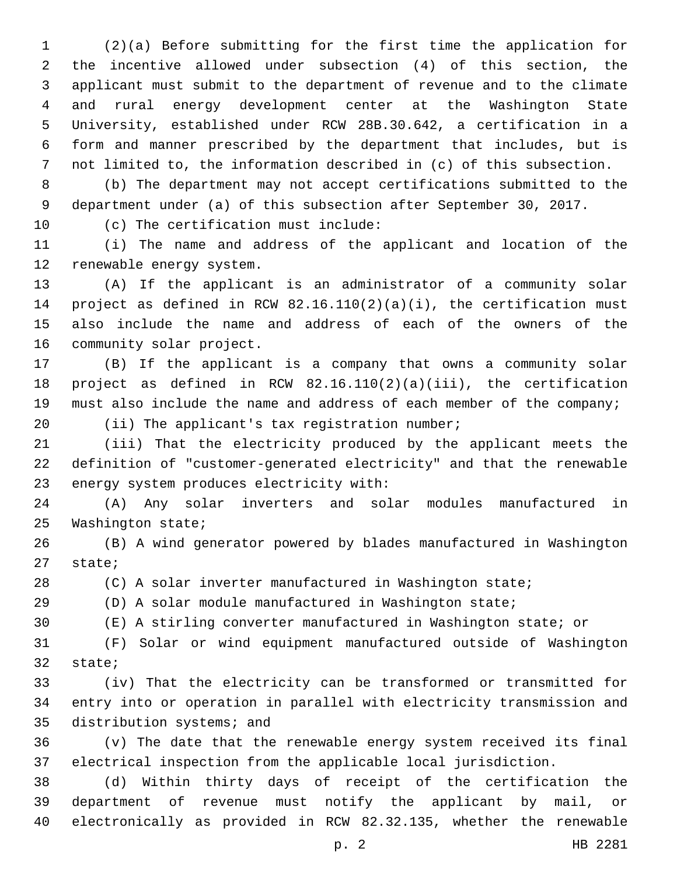(2)(a) Before submitting for the first time the application for the incentive allowed under subsection (4) of this section, the applicant must submit to the department of revenue and to the climate and rural energy development center at the Washington State University, established under RCW 28B.30.642, a certification in a form and manner prescribed by the department that includes, but is not limited to, the information described in (c) of this subsection.

 (b) The department may not accept certifications submitted to the department under (a) of this subsection after September 30, 2017.

10 (c) The certification must include:

 (i) The name and address of the applicant and location of the 12 renewable energy system.

 (A) If the applicant is an administrator of a community solar project as defined in RCW 82.16.110(2)(a)(i), the certification must also include the name and address of each of the owners of the 16 community solar project.

 (B) If the applicant is a company that owns a community solar project as defined in RCW 82.16.110(2)(a)(iii), the certification must also include the name and address of each member of the company;

20 (ii) The applicant's tax registration number;

 (iii) That the electricity produced by the applicant meets the definition of "customer-generated electricity" and that the renewable 23 energy system produces electricity with:

 (A) Any solar inverters and solar modules manufactured in 25 Washington state;

 (B) A wind generator powered by blades manufactured in Washington 27 state;

(C) A solar inverter manufactured in Washington state;

(D) A solar module manufactured in Washington state;

(E) A stirling converter manufactured in Washington state; or

 (F) Solar or wind equipment manufactured outside of Washington 32 state;

 (iv) That the electricity can be transformed or transmitted for entry into or operation in parallel with electricity transmission and 35 distribution systems; and

 (v) The date that the renewable energy system received its final electrical inspection from the applicable local jurisdiction.

 (d) Within thirty days of receipt of the certification the department of revenue must notify the applicant by mail, or electronically as provided in RCW 82.32.135, whether the renewable

p. 2 HB 2281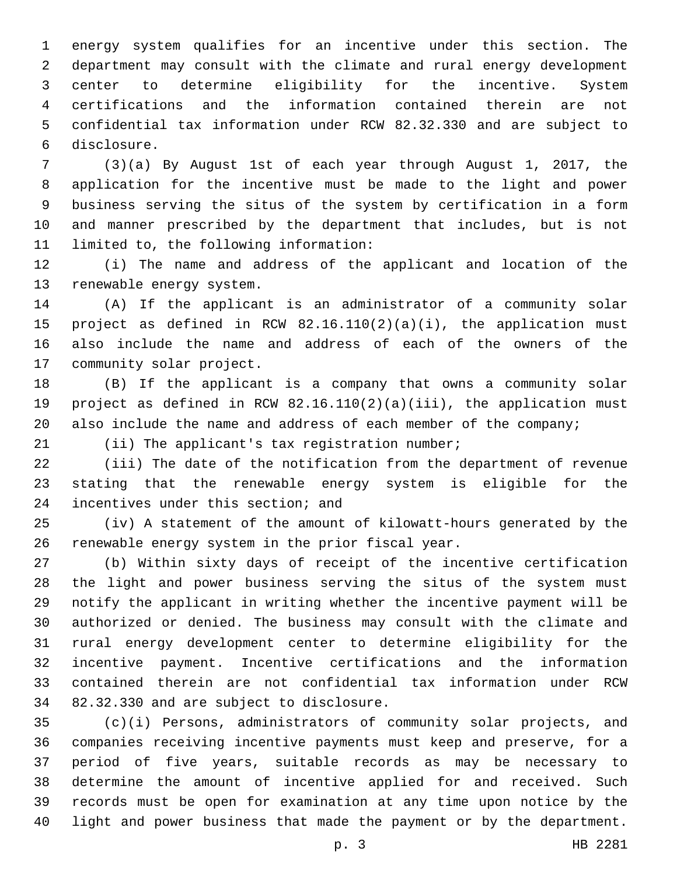energy system qualifies for an incentive under this section. The department may consult with the climate and rural energy development center to determine eligibility for the incentive. System certifications and the information contained therein are not confidential tax information under RCW 82.32.330 and are subject to disclosure.6

 (3)(a) By August 1st of each year through August 1, 2017, the application for the incentive must be made to the light and power business serving the situs of the system by certification in a form and manner prescribed by the department that includes, but is not 11 limited to, the following information:

 (i) The name and address of the applicant and location of the 13 renewable energy system.

 (A) If the applicant is an administrator of a community solar project as defined in RCW 82.16.110(2)(a)(i), the application must also include the name and address of each of the owners of the 17 community solar project.

 (B) If the applicant is a company that owns a community solar project as defined in RCW 82.16.110(2)(a)(iii), the application must 20 also include the name and address of each member of the company;

21 (ii) The applicant's tax registration number;

 (iii) The date of the notification from the department of revenue stating that the renewable energy system is eligible for the 24 incentives under this section; and

 (iv) A statement of the amount of kilowatt-hours generated by the 26 renewable energy system in the prior fiscal year.

 (b) Within sixty days of receipt of the incentive certification the light and power business serving the situs of the system must notify the applicant in writing whether the incentive payment will be authorized or denied. The business may consult with the climate and rural energy development center to determine eligibility for the incentive payment. Incentive certifications and the information contained therein are not confidential tax information under RCW 34 82.32.330 and are subject to disclosure.

 (c)(i) Persons, administrators of community solar projects, and companies receiving incentive payments must keep and preserve, for a period of five years, suitable records as may be necessary to determine the amount of incentive applied for and received. Such records must be open for examination at any time upon notice by the light and power business that made the payment or by the department.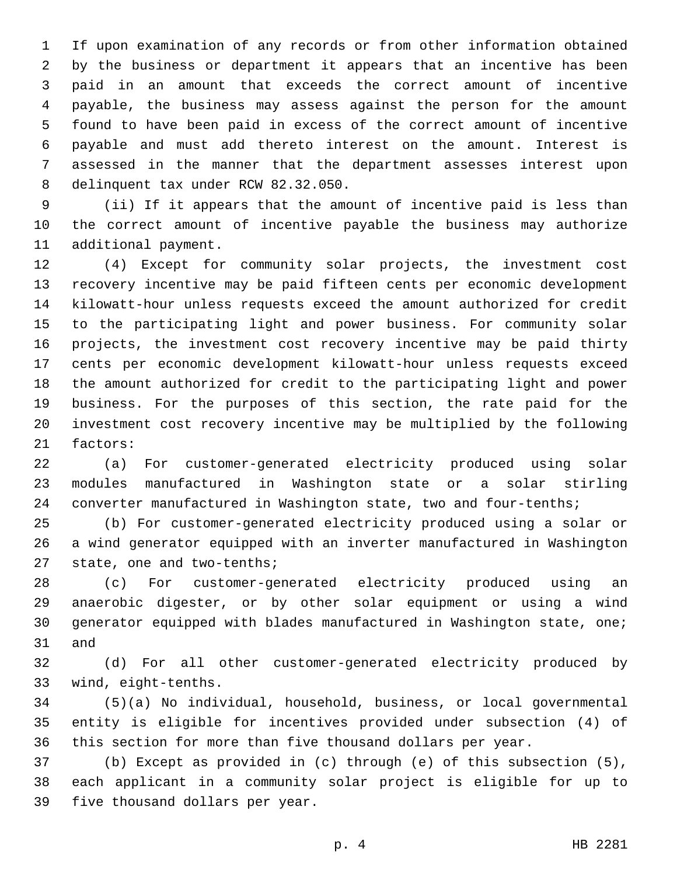If upon examination of any records or from other information obtained by the business or department it appears that an incentive has been paid in an amount that exceeds the correct amount of incentive payable, the business may assess against the person for the amount found to have been paid in excess of the correct amount of incentive payable and must add thereto interest on the amount. Interest is assessed in the manner that the department assesses interest upon 8 delinquent tax under RCW 82.32.050.

 (ii) If it appears that the amount of incentive paid is less than the correct amount of incentive payable the business may authorize 11 additional payment.

 (4) Except for community solar projects, the investment cost recovery incentive may be paid fifteen cents per economic development kilowatt-hour unless requests exceed the amount authorized for credit to the participating light and power business. For community solar projects, the investment cost recovery incentive may be paid thirty cents per economic development kilowatt-hour unless requests exceed the amount authorized for credit to the participating light and power business. For the purposes of this section, the rate paid for the investment cost recovery incentive may be multiplied by the following 21 factors:

 (a) For customer-generated electricity produced using solar modules manufactured in Washington state or a solar stirling converter manufactured in Washington state, two and four-tenths;

 (b) For customer-generated electricity produced using a solar or a wind generator equipped with an inverter manufactured in Washington 27 state, one and two-tenths;

 (c) For customer-generated electricity produced using an anaerobic digester, or by other solar equipment or using a wind generator equipped with blades manufactured in Washington state, one; 31 and

 (d) For all other customer-generated electricity produced by wind, eight-tenths.33

 (5)(a) No individual, household, business, or local governmental entity is eligible for incentives provided under subsection (4) of this section for more than five thousand dollars per year.

 (b) Except as provided in (c) through (e) of this subsection (5), each applicant in a community solar project is eligible for up to 39 five thousand dollars per year.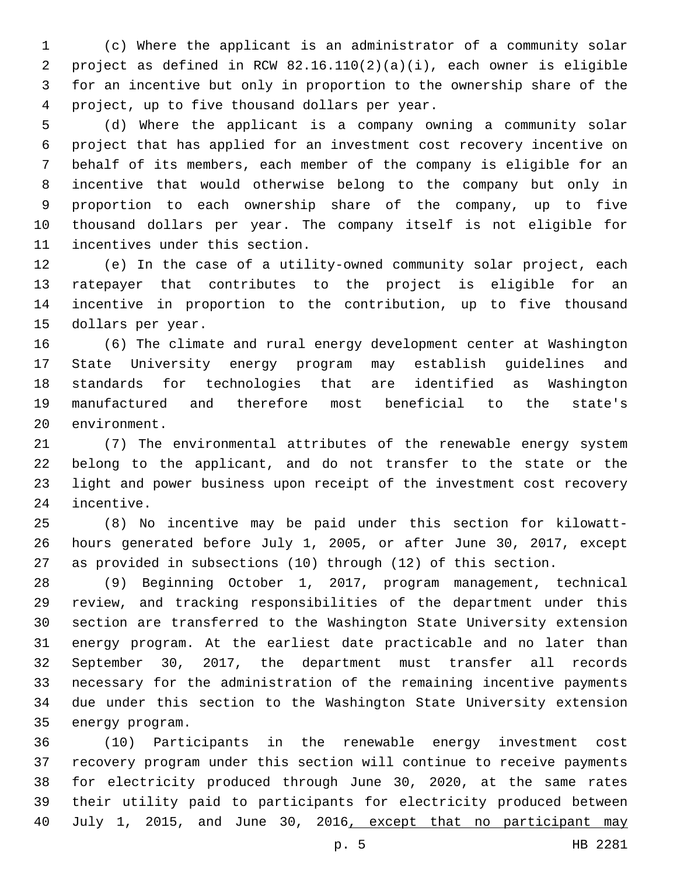(c) Where the applicant is an administrator of a community solar project as defined in RCW 82.16.110(2)(a)(i), each owner is eligible for an incentive but only in proportion to the ownership share of the project, up to five thousand dollars per year.4

 (d) Where the applicant is a company owning a community solar project that has applied for an investment cost recovery incentive on behalf of its members, each member of the company is eligible for an incentive that would otherwise belong to the company but only in proportion to each ownership share of the company, up to five thousand dollars per year. The company itself is not eligible for 11 incentives under this section.

 (e) In the case of a utility-owned community solar project, each ratepayer that contributes to the project is eligible for an incentive in proportion to the contribution, up to five thousand 15 dollars per year.

 (6) The climate and rural energy development center at Washington State University energy program may establish guidelines and standards for technologies that are identified as Washington manufactured and therefore most beneficial to the state's 20 environment.

 (7) The environmental attributes of the renewable energy system belong to the applicant, and do not transfer to the state or the light and power business upon receipt of the investment cost recovery 24 incentive.

 (8) No incentive may be paid under this section for kilowatt- hours generated before July 1, 2005, or after June 30, 2017, except as provided in subsections (10) through (12) of this section.

 (9) Beginning October 1, 2017, program management, technical review, and tracking responsibilities of the department under this section are transferred to the Washington State University extension energy program. At the earliest date practicable and no later than September 30, 2017, the department must transfer all records necessary for the administration of the remaining incentive payments due under this section to the Washington State University extension 35 energy program.

 (10) Participants in the renewable energy investment cost recovery program under this section will continue to receive payments for electricity produced through June 30, 2020, at the same rates their utility paid to participants for electricity produced between 40 July 1, 2015, and June 30, 2016, except that no participant may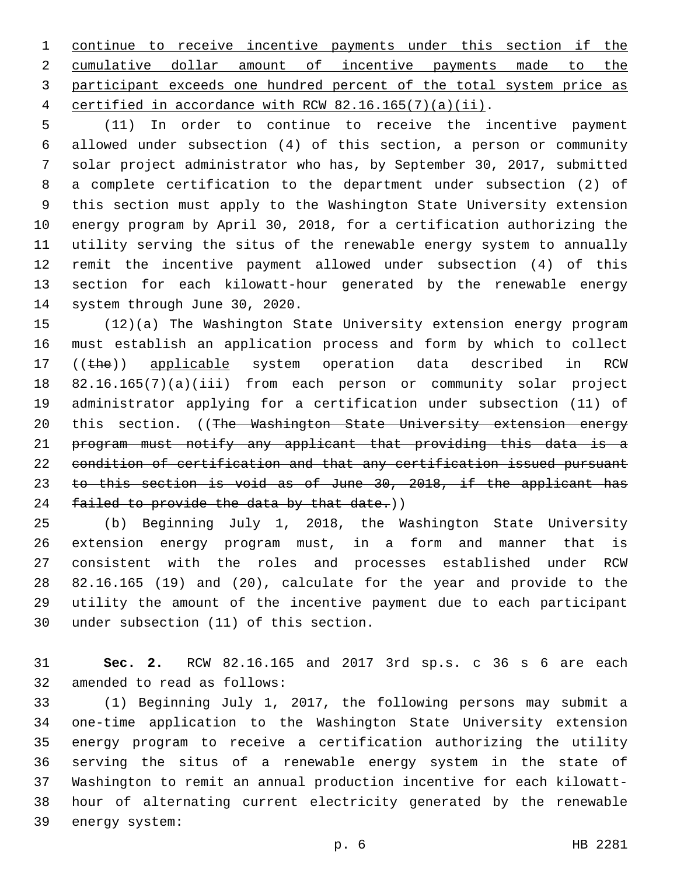continue to receive incentive payments under this section if the cumulative dollar amount of incentive payments made to the participant exceeds one hundred percent of the total system price as certified in accordance with RCW 82.16.165(7)(a)(ii).

 (11) In order to continue to receive the incentive payment allowed under subsection (4) of this section, a person or community solar project administrator who has, by September 30, 2017, submitted a complete certification to the department under subsection (2) of this section must apply to the Washington State University extension energy program by April 30, 2018, for a certification authorizing the utility serving the situs of the renewable energy system to annually remit the incentive payment allowed under subsection (4) of this section for each kilowatt-hour generated by the renewable energy 14 system through June 30, 2020.

 (12)(a) The Washington State University extension energy program must establish an application process and form by which to collect 17 ((the)) applicable system operation data described in RCW 82.16.165(7)(a)(iii) from each person or community solar project administrator applying for a certification under subsection (11) of 20 this section. ((The Washington State University extension energy program must notify any applicant that providing this data is a condition of certification and that any certification issued pursuant to this section is void as of June 30, 2018, if the applicant has 24 failed to provide the data by that date.))

 (b) Beginning July 1, 2018, the Washington State University extension energy program must, in a form and manner that is consistent with the roles and processes established under RCW 82.16.165 (19) and (20), calculate for the year and provide to the utility the amount of the incentive payment due to each participant 30 under subsection (11) of this section.

 **Sec. 2.** RCW 82.16.165 and 2017 3rd sp.s. c 36 s 6 are each 32 amended to read as follows:

 (1) Beginning July 1, 2017, the following persons may submit a one-time application to the Washington State University extension energy program to receive a certification authorizing the utility serving the situs of a renewable energy system in the state of Washington to remit an annual production incentive for each kilowatt- hour of alternating current electricity generated by the renewable 39 energy system: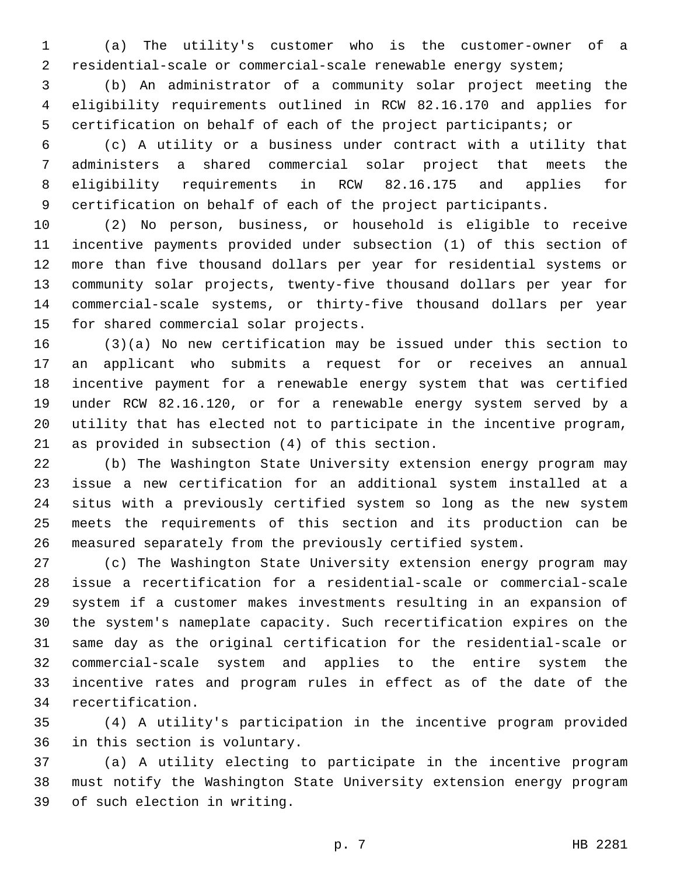(a) The utility's customer who is the customer-owner of a residential-scale or commercial-scale renewable energy system;

 (b) An administrator of a community solar project meeting the eligibility requirements outlined in RCW 82.16.170 and applies for certification on behalf of each of the project participants; or

 (c) A utility or a business under contract with a utility that administers a shared commercial solar project that meets the eligibility requirements in RCW 82.16.175 and applies for certification on behalf of each of the project participants.

 (2) No person, business, or household is eligible to receive incentive payments provided under subsection (1) of this section of more than five thousand dollars per year for residential systems or community solar projects, twenty-five thousand dollars per year for commercial-scale systems, or thirty-five thousand dollars per year 15 for shared commercial solar projects.

 (3)(a) No new certification may be issued under this section to an applicant who submits a request for or receives an annual incentive payment for a renewable energy system that was certified under RCW 82.16.120, or for a renewable energy system served by a utility that has elected not to participate in the incentive program, 21 as provided in subsection  $(4)$  of this section.

 (b) The Washington State University extension energy program may issue a new certification for an additional system installed at a situs with a previously certified system so long as the new system meets the requirements of this section and its production can be measured separately from the previously certified system.

 (c) The Washington State University extension energy program may issue a recertification for a residential-scale or commercial-scale system if a customer makes investments resulting in an expansion of the system's nameplate capacity. Such recertification expires on the same day as the original certification for the residential-scale or commercial-scale system and applies to the entire system the incentive rates and program rules in effect as of the date of the 34 recertification.

 (4) A utility's participation in the incentive program provided 36 in this section is voluntary.

 (a) A utility electing to participate in the incentive program must notify the Washington State University extension energy program 39 of such election in writing.

p. 7 HB 2281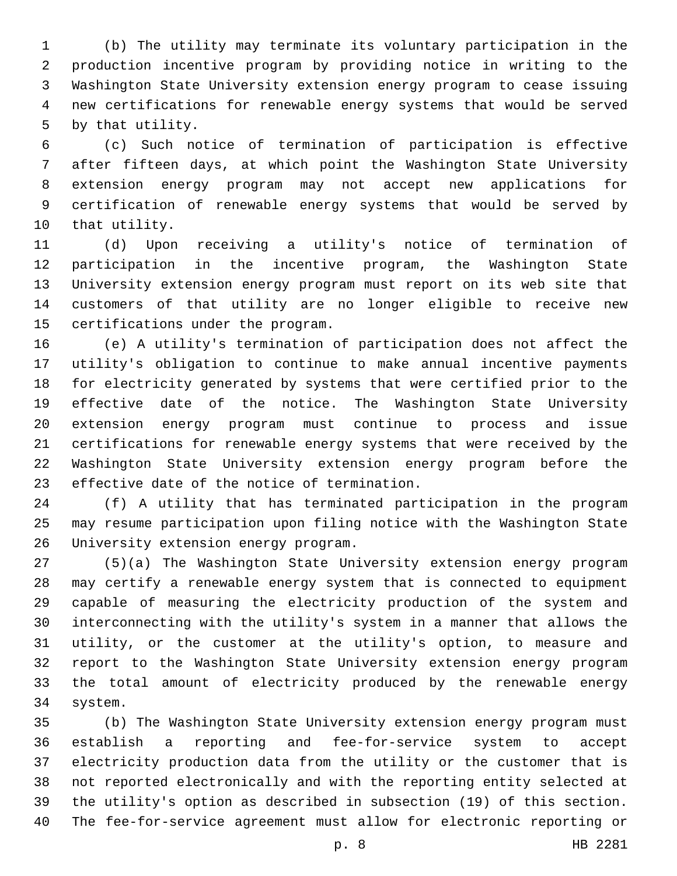(b) The utility may terminate its voluntary participation in the production incentive program by providing notice in writing to the Washington State University extension energy program to cease issuing new certifications for renewable energy systems that would be served 5 by that utility.

 (c) Such notice of termination of participation is effective after fifteen days, at which point the Washington State University extension energy program may not accept new applications for certification of renewable energy systems that would be served by 10 that utility.

 (d) Upon receiving a utility's notice of termination of participation in the incentive program, the Washington State University extension energy program must report on its web site that customers of that utility are no longer eligible to receive new 15 certifications under the program.

 (e) A utility's termination of participation does not affect the utility's obligation to continue to make annual incentive payments for electricity generated by systems that were certified prior to the effective date of the notice. The Washington State University extension energy program must continue to process and issue certifications for renewable energy systems that were received by the Washington State University extension energy program before the 23 effective date of the notice of termination.

 (f) A utility that has terminated participation in the program may resume participation upon filing notice with the Washington State 26 University extension energy program.

 (5)(a) The Washington State University extension energy program may certify a renewable energy system that is connected to equipment capable of measuring the electricity production of the system and interconnecting with the utility's system in a manner that allows the utility, or the customer at the utility's option, to measure and report to the Washington State University extension energy program the total amount of electricity produced by the renewable energy 34 system.

 (b) The Washington State University extension energy program must establish a reporting and fee-for-service system to accept electricity production data from the utility or the customer that is not reported electronically and with the reporting entity selected at the utility's option as described in subsection (19) of this section. The fee-for-service agreement must allow for electronic reporting or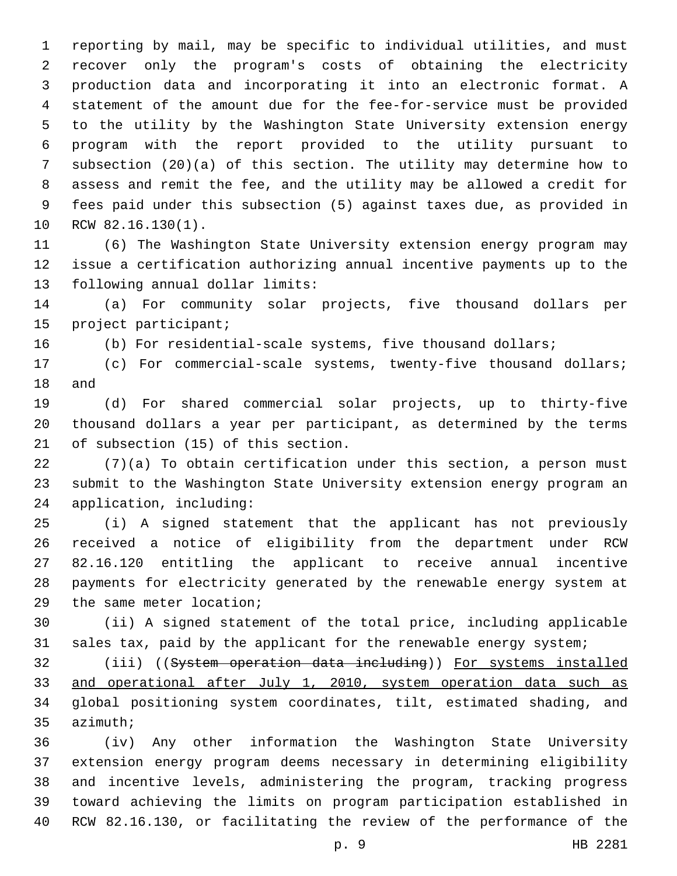reporting by mail, may be specific to individual utilities, and must recover only the program's costs of obtaining the electricity production data and incorporating it into an electronic format. A statement of the amount due for the fee-for-service must be provided to the utility by the Washington State University extension energy program with the report provided to the utility pursuant to subsection (20)(a) of this section. The utility may determine how to assess and remit the fee, and the utility may be allowed a credit for fees paid under this subsection (5) against taxes due, as provided in 10 RCW 82.16.130(1).

 (6) The Washington State University extension energy program may issue a certification authorizing annual incentive payments up to the 13 following annual dollar limits:

 (a) For community solar projects, five thousand dollars per 15 project participant;

(b) For residential-scale systems, five thousand dollars;

 (c) For commercial-scale systems, twenty-five thousand dollars; 18 and

 (d) For shared commercial solar projects, up to thirty-five thousand dollars a year per participant, as determined by the terms 21 of subsection (15) of this section.

 (7)(a) To obtain certification under this section, a person must submit to the Washington State University extension energy program an 24 application, including:

 (i) A signed statement that the applicant has not previously received a notice of eligibility from the department under RCW 82.16.120 entitling the applicant to receive annual incentive payments for electricity generated by the renewable energy system at 29 the same meter location;

 (ii) A signed statement of the total price, including applicable 31 sales tax, paid by the applicant for the renewable energy system;

 (iii) ((System operation data including)) For systems installed and operational after July 1, 2010, system operation data such as global positioning system coordinates, tilt, estimated shading, and 35 azimuth;

 (iv) Any other information the Washington State University extension energy program deems necessary in determining eligibility and incentive levels, administering the program, tracking progress toward achieving the limits on program participation established in RCW 82.16.130, or facilitating the review of the performance of the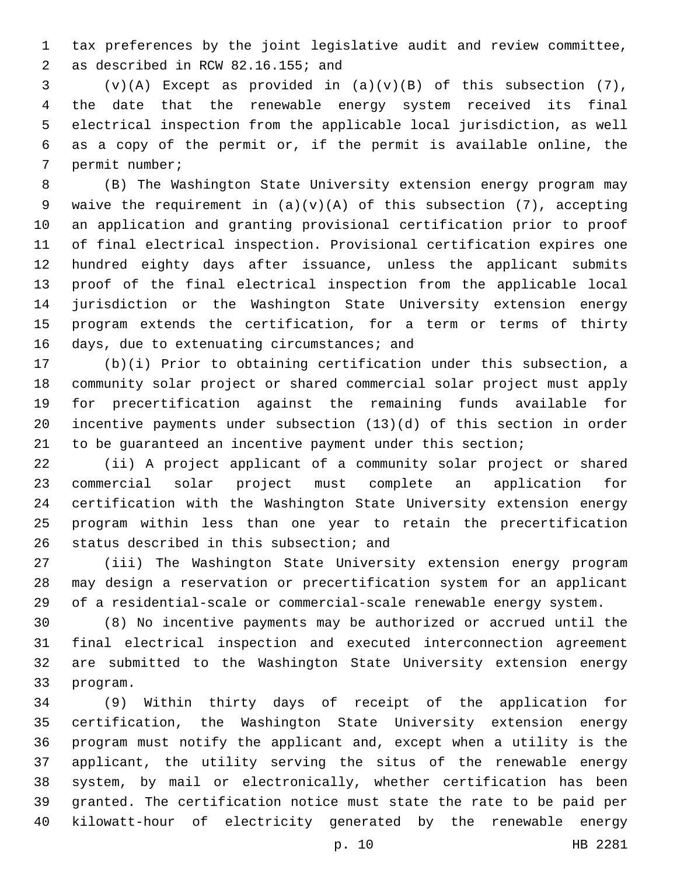tax preferences by the joint legislative audit and review committee, as described in RCW 82.16.155; and2

 (v)(A) Except as provided in (a)(v)(B) of this subsection (7), the date that the renewable energy system received its final electrical inspection from the applicable local jurisdiction, as well as a copy of the permit or, if the permit is available online, the 7 permit number;

 (B) The Washington State University extension energy program may 9 waive the requirement in  $(a)(v)(A)$  of this subsection  $(7)$ , accepting an application and granting provisional certification prior to proof of final electrical inspection. Provisional certification expires one hundred eighty days after issuance, unless the applicant submits proof of the final electrical inspection from the applicable local jurisdiction or the Washington State University extension energy program extends the certification, for a term or terms of thirty 16 days, due to extenuating circumstances; and

 (b)(i) Prior to obtaining certification under this subsection, a community solar project or shared commercial solar project must apply for precertification against the remaining funds available for incentive payments under subsection (13)(d) of this section in order to be guaranteed an incentive payment under this section;

 (ii) A project applicant of a community solar project or shared commercial solar project must complete an application for certification with the Washington State University extension energy program within less than one year to retain the precertification 26 status described in this subsection; and

 (iii) The Washington State University extension energy program may design a reservation or precertification system for an applicant of a residential-scale or commercial-scale renewable energy system.

 (8) No incentive payments may be authorized or accrued until the final electrical inspection and executed interconnection agreement are submitted to the Washington State University extension energy 33 program.

 (9) Within thirty days of receipt of the application for certification, the Washington State University extension energy program must notify the applicant and, except when a utility is the applicant, the utility serving the situs of the renewable energy system, by mail or electronically, whether certification has been granted. The certification notice must state the rate to be paid per kilowatt-hour of electricity generated by the renewable energy

p. 10 HB 2281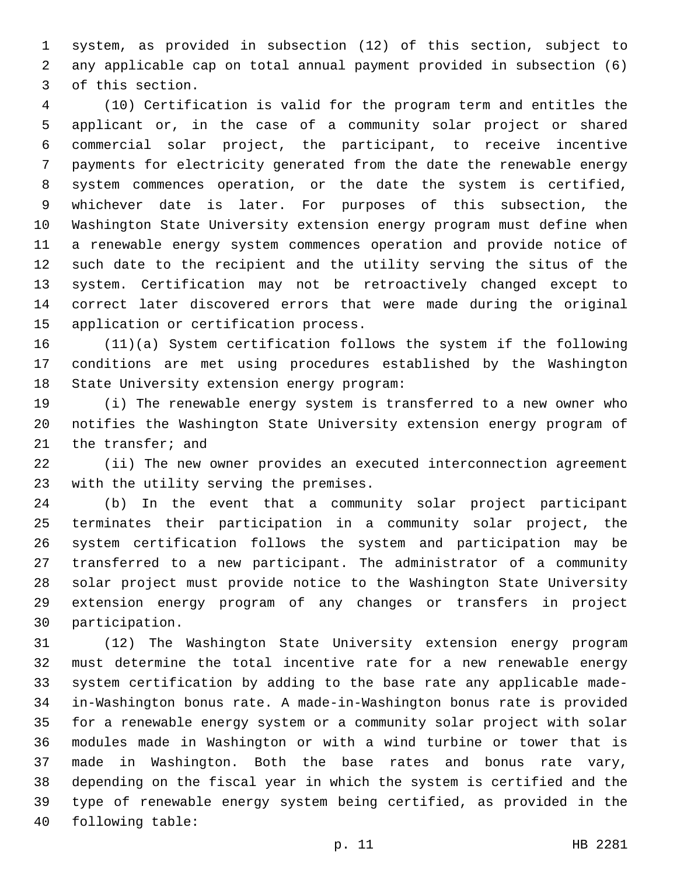system, as provided in subsection (12) of this section, subject to any applicable cap on total annual payment provided in subsection (6) 3 of this section.

 (10) Certification is valid for the program term and entitles the applicant or, in the case of a community solar project or shared commercial solar project, the participant, to receive incentive payments for electricity generated from the date the renewable energy system commences operation, or the date the system is certified, whichever date is later. For purposes of this subsection, the Washington State University extension energy program must define when a renewable energy system commences operation and provide notice of such date to the recipient and the utility serving the situs of the system. Certification may not be retroactively changed except to correct later discovered errors that were made during the original 15 application or certification process.

 (11)(a) System certification follows the system if the following conditions are met using procedures established by the Washington 18 State University extension energy program:

 (i) The renewable energy system is transferred to a new owner who notifies the Washington State University extension energy program of 21 the transfer; and

 (ii) The new owner provides an executed interconnection agreement 23 with the utility serving the premises.

 (b) In the event that a community solar project participant terminates their participation in a community solar project, the system certification follows the system and participation may be transferred to a new participant. The administrator of a community solar project must provide notice to the Washington State University extension energy program of any changes or transfers in project 30 participation.

 (12) The Washington State University extension energy program must determine the total incentive rate for a new renewable energy system certification by adding to the base rate any applicable made- in-Washington bonus rate. A made-in-Washington bonus rate is provided for a renewable energy system or a community solar project with solar modules made in Washington or with a wind turbine or tower that is made in Washington. Both the base rates and bonus rate vary, depending on the fiscal year in which the system is certified and the type of renewable energy system being certified, as provided in the 40 following table: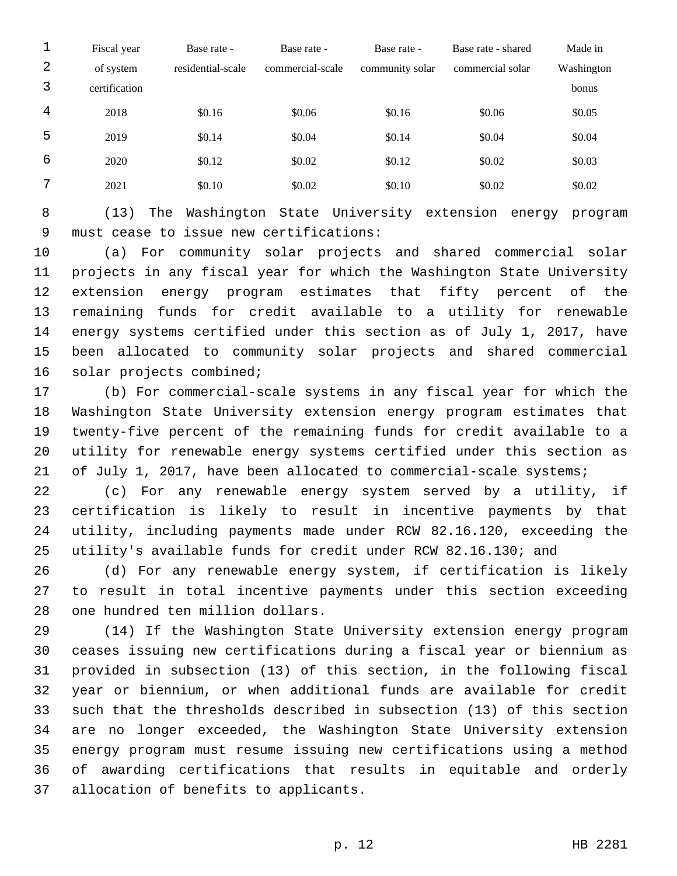| 1 | Fiscal year   | Base rate -       | Base rate -      | Base rate -     | Base rate - shared | Made in    |
|---|---------------|-------------------|------------------|-----------------|--------------------|------------|
| 2 | of system     | residential-scale | commercial-scale | community solar | commercial solar   | Washington |
| 3 | certification |                   |                  |                 |                    | bonus      |
| 4 | 2018          | \$0.16            | \$0.06           | \$0.16          | \$0.06             | \$0.05     |
| 5 | 2019          | \$0.14            | \$0.04           | \$0.14          | \$0.04             | \$0.04     |
| 6 | 2020          | \$0.12            | \$0.02           | \$0.12          | \$0.02             | \$0.03     |
| 7 | 2021          | \$0.10            | \$0.02           | \$0.10          | \$0.02             | \$0.02     |

 (13) The Washington State University extension energy program 9 must cease to issue new certifications:

 (a) For community solar projects and shared commercial solar projects in any fiscal year for which the Washington State University extension energy program estimates that fifty percent of the remaining funds for credit available to a utility for renewable energy systems certified under this section as of July 1, 2017, have been allocated to community solar projects and shared commercial 16 solar projects combined;

 (b) For commercial-scale systems in any fiscal year for which the Washington State University extension energy program estimates that twenty-five percent of the remaining funds for credit available to a utility for renewable energy systems certified under this section as 21 of July 1, 2017, have been allocated to commercial-scale systems;

 (c) For any renewable energy system served by a utility, if certification is likely to result in incentive payments by that utility, including payments made under RCW 82.16.120, exceeding the utility's available funds for credit under RCW 82.16.130; and

 (d) For any renewable energy system, if certification is likely to result in total incentive payments under this section exceeding 28 one hundred ten million dollars.

 (14) If the Washington State University extension energy program ceases issuing new certifications during a fiscal year or biennium as provided in subsection (13) of this section, in the following fiscal year or biennium, or when additional funds are available for credit such that the thresholds described in subsection (13) of this section are no longer exceeded, the Washington State University extension energy program must resume issuing new certifications using a method of awarding certifications that results in equitable and orderly 37 allocation of benefits to applicants.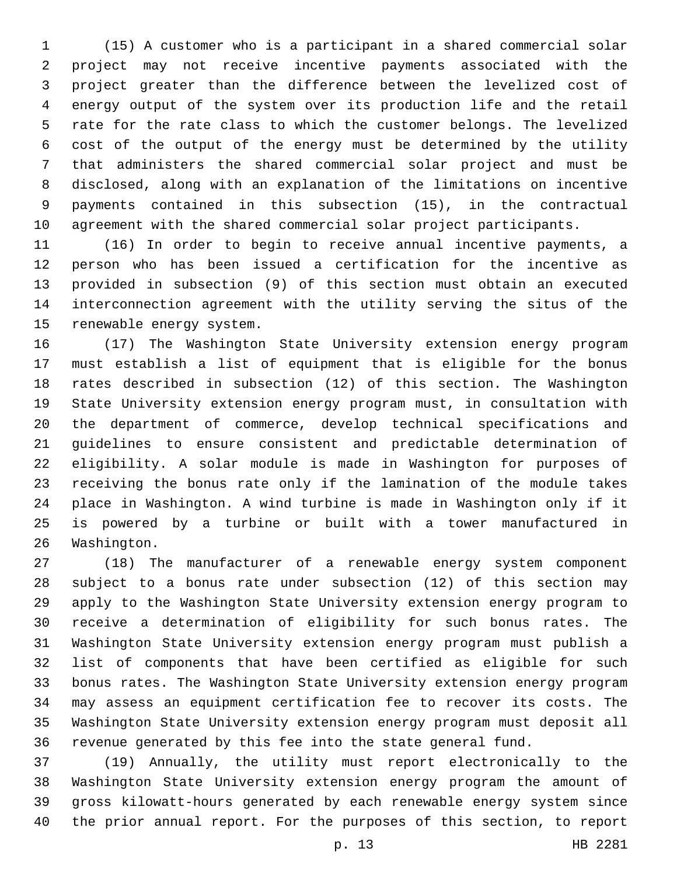(15) A customer who is a participant in a shared commercial solar project may not receive incentive payments associated with the project greater than the difference between the levelized cost of energy output of the system over its production life and the retail rate for the rate class to which the customer belongs. The levelized cost of the output of the energy must be determined by the utility that administers the shared commercial solar project and must be disclosed, along with an explanation of the limitations on incentive payments contained in this subsection (15), in the contractual agreement with the shared commercial solar project participants.

 (16) In order to begin to receive annual incentive payments, a person who has been issued a certification for the incentive as provided in subsection (9) of this section must obtain an executed interconnection agreement with the utility serving the situs of the 15 renewable energy system.

 (17) The Washington State University extension energy program must establish a list of equipment that is eligible for the bonus rates described in subsection (12) of this section. The Washington State University extension energy program must, in consultation with the department of commerce, develop technical specifications and guidelines to ensure consistent and predictable determination of eligibility. A solar module is made in Washington for purposes of receiving the bonus rate only if the lamination of the module takes place in Washington. A wind turbine is made in Washington only if it is powered by a turbine or built with a tower manufactured in 26 Washington.

 (18) The manufacturer of a renewable energy system component subject to a bonus rate under subsection (12) of this section may apply to the Washington State University extension energy program to receive a determination of eligibility for such bonus rates. The Washington State University extension energy program must publish a list of components that have been certified as eligible for such bonus rates. The Washington State University extension energy program may assess an equipment certification fee to recover its costs. The Washington State University extension energy program must deposit all revenue generated by this fee into the state general fund.

 (19) Annually, the utility must report electronically to the Washington State University extension energy program the amount of gross kilowatt-hours generated by each renewable energy system since the prior annual report. For the purposes of this section, to report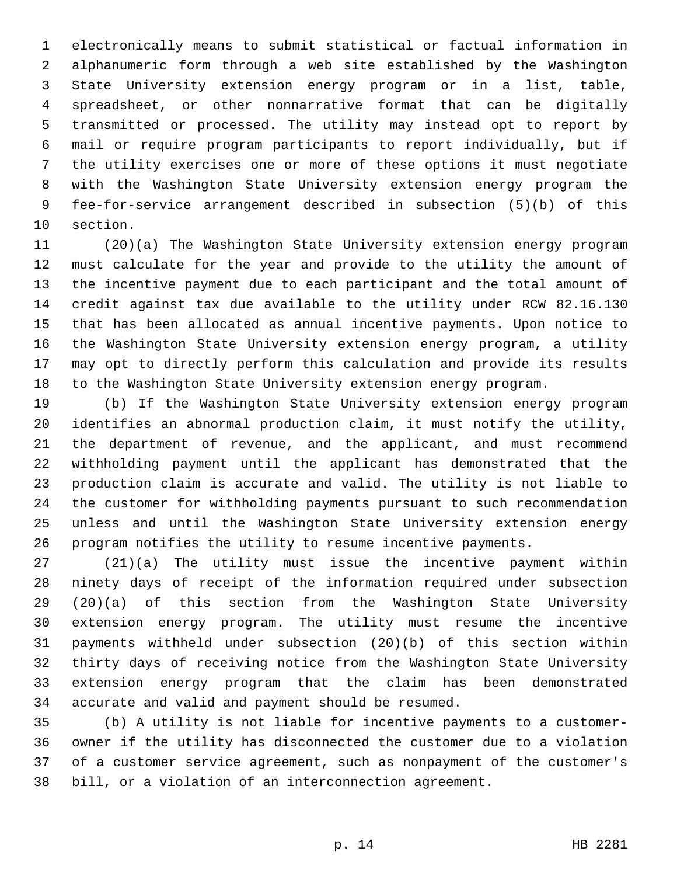electronically means to submit statistical or factual information in alphanumeric form through a web site established by the Washington State University extension energy program or in a list, table, spreadsheet, or other nonnarrative format that can be digitally transmitted or processed. The utility may instead opt to report by mail or require program participants to report individually, but if the utility exercises one or more of these options it must negotiate with the Washington State University extension energy program the fee-for-service arrangement described in subsection (5)(b) of this 10 section.

 (20)(a) The Washington State University extension energy program must calculate for the year and provide to the utility the amount of the incentive payment due to each participant and the total amount of credit against tax due available to the utility under RCW 82.16.130 that has been allocated as annual incentive payments. Upon notice to the Washington State University extension energy program, a utility may opt to directly perform this calculation and provide its results to the Washington State University extension energy program.

 (b) If the Washington State University extension energy program identifies an abnormal production claim, it must notify the utility, the department of revenue, and the applicant, and must recommend withholding payment until the applicant has demonstrated that the production claim is accurate and valid. The utility is not liable to the customer for withholding payments pursuant to such recommendation unless and until the Washington State University extension energy program notifies the utility to resume incentive payments.

 (21)(a) The utility must issue the incentive payment within ninety days of receipt of the information required under subsection (20)(a) of this section from the Washington State University extension energy program. The utility must resume the incentive payments withheld under subsection (20)(b) of this section within thirty days of receiving notice from the Washington State University extension energy program that the claim has been demonstrated 34 accurate and valid and payment should be resumed.

 (b) A utility is not liable for incentive payments to a customer- owner if the utility has disconnected the customer due to a violation of a customer service agreement, such as nonpayment of the customer's bill, or a violation of an interconnection agreement.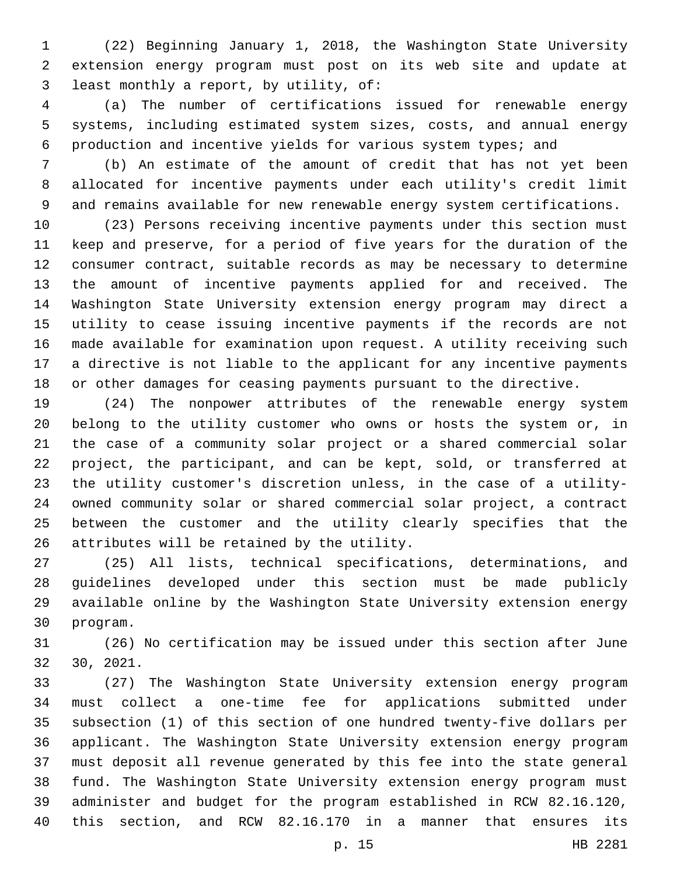(22) Beginning January 1, 2018, the Washington State University extension energy program must post on its web site and update at least monthly a report, by utility, of:3

 (a) The number of certifications issued for renewable energy systems, including estimated system sizes, costs, and annual energy production and incentive yields for various system types; and

 (b) An estimate of the amount of credit that has not yet been allocated for incentive payments under each utility's credit limit and remains available for new renewable energy system certifications.

 (23) Persons receiving incentive payments under this section must keep and preserve, for a period of five years for the duration of the consumer contract, suitable records as may be necessary to determine the amount of incentive payments applied for and received. The Washington State University extension energy program may direct a utility to cease issuing incentive payments if the records are not made available for examination upon request. A utility receiving such a directive is not liable to the applicant for any incentive payments or other damages for ceasing payments pursuant to the directive.

 (24) The nonpower attributes of the renewable energy system belong to the utility customer who owns or hosts the system or, in the case of a community solar project or a shared commercial solar project, the participant, and can be kept, sold, or transferred at the utility customer's discretion unless, in the case of a utility- owned community solar or shared commercial solar project, a contract between the customer and the utility clearly specifies that the 26 attributes will be retained by the utility.

 (25) All lists, technical specifications, determinations, and guidelines developed under this section must be made publicly available online by the Washington State University extension energy 30 program.

 (26) No certification may be issued under this section after June 30, 2021.

 (27) The Washington State University extension energy program must collect a one-time fee for applications submitted under subsection (1) of this section of one hundred twenty-five dollars per applicant. The Washington State University extension energy program must deposit all revenue generated by this fee into the state general fund. The Washington State University extension energy program must administer and budget for the program established in RCW 82.16.120, this section, and RCW 82.16.170 in a manner that ensures its

p. 15 HB 2281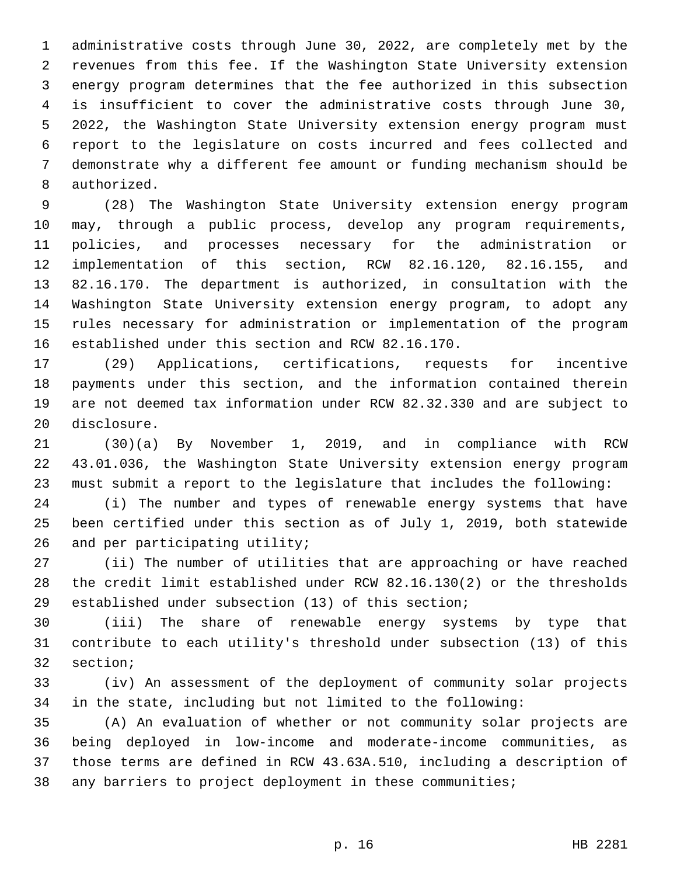administrative costs through June 30, 2022, are completely met by the revenues from this fee. If the Washington State University extension energy program determines that the fee authorized in this subsection is insufficient to cover the administrative costs through June 30, 2022, the Washington State University extension energy program must report to the legislature on costs incurred and fees collected and demonstrate why a different fee amount or funding mechanism should be 8 authorized.

 (28) The Washington State University extension energy program may, through a public process, develop any program requirements, policies, and processes necessary for the administration or implementation of this section, RCW 82.16.120, 82.16.155, and 82.16.170. The department is authorized, in consultation with the Washington State University extension energy program, to adopt any rules necessary for administration or implementation of the program 16 established under this section and RCW 82.16.170.

 (29) Applications, certifications, requests for incentive payments under this section, and the information contained therein are not deemed tax information under RCW 82.32.330 and are subject to 20 disclosure.

 (30)(a) By November 1, 2019, and in compliance with RCW 43.01.036, the Washington State University extension energy program must submit a report to the legislature that includes the following:

 (i) The number and types of renewable energy systems that have been certified under this section as of July 1, 2019, both statewide 26 and per participating utility;

 (ii) The number of utilities that are approaching or have reached the credit limit established under RCW 82.16.130(2) or the thresholds established under subsection (13) of this section;

 (iii) The share of renewable energy systems by type that contribute to each utility's threshold under subsection (13) of this 32 section;

 (iv) An assessment of the deployment of community solar projects in the state, including but not limited to the following:

 (A) An evaluation of whether or not community solar projects are being deployed in low-income and moderate-income communities, as those terms are defined in RCW 43.63A.510, including a description of any barriers to project deployment in these communities;